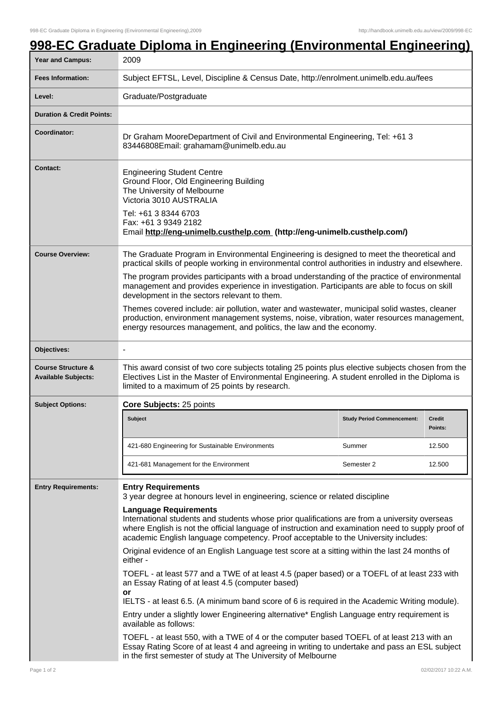## **998-EC Graduate Diploma in Engineering (Environmental Engineering)**

| Year and Campus:                                            | 2009                                                                                                                                                                                                                                                                                                                                          |                                   |                          |
|-------------------------------------------------------------|-----------------------------------------------------------------------------------------------------------------------------------------------------------------------------------------------------------------------------------------------------------------------------------------------------------------------------------------------|-----------------------------------|--------------------------|
| <b>Fees Information:</b>                                    | Subject EFTSL, Level, Discipline & Census Date, http://enrolment.unimelb.edu.au/fees                                                                                                                                                                                                                                                          |                                   |                          |
| Level:                                                      | Graduate/Postgraduate                                                                                                                                                                                                                                                                                                                         |                                   |                          |
| <b>Duration &amp; Credit Points:</b>                        |                                                                                                                                                                                                                                                                                                                                               |                                   |                          |
| Coordinator:                                                | Dr Graham MooreDepartment of Civil and Environmental Engineering, Tel: +61 3<br>83446808Email: grahamam@unimelb.edu.au                                                                                                                                                                                                                        |                                   |                          |
| <b>Contact:</b>                                             | <b>Engineering Student Centre</b><br>Ground Floor, Old Engineering Building<br>The University of Melbourne<br>Victoria 3010 AUSTRALIA<br>Tel: +61 3 8344 6703<br>Fax: +61 3 9349 2182<br>Email http://eng-unimelb.custhelp.com (http://eng-unimelb.custhelp.com/)                                                                             |                                   |                          |
| <b>Course Overview:</b>                                     | The Graduate Program in Environmental Engineering is designed to meet the theoretical and<br>practical skills of people working in environmental control authorities in industry and elsewhere.                                                                                                                                               |                                   |                          |
|                                                             | The program provides participants with a broad understanding of the practice of environmental<br>management and provides experience in investigation. Participants are able to focus on skill<br>development in the sectors relevant to them.<br>Themes covered include: air pollution, water and wastewater, municipal solid wastes, cleaner |                                   |                          |
|                                                             | production, environment management systems, noise, vibration, water resources management,<br>energy resources management, and politics, the law and the economy.                                                                                                                                                                              |                                   |                          |
| Objectives:                                                 |                                                                                                                                                                                                                                                                                                                                               |                                   |                          |
| <b>Course Structure &amp;</b><br><b>Available Subjects:</b> | This award consist of two core subjects totaling 25 points plus elective subjects chosen from the<br>Electives List in the Master of Environmental Engineering. A student enrolled in the Diploma is<br>limited to a maximum of 25 points by research.                                                                                        |                                   |                          |
| <b>Subject Options:</b>                                     | Core Subjects: 25 points                                                                                                                                                                                                                                                                                                                      |                                   |                          |
|                                                             | <b>Subject</b>                                                                                                                                                                                                                                                                                                                                | <b>Study Period Commencement:</b> | <b>Credit</b><br>Points: |
|                                                             | 421-680 Engineering for Sustainable Environments                                                                                                                                                                                                                                                                                              | Summer                            | 12.500                   |
|                                                             | 421-681 Management for the Environment                                                                                                                                                                                                                                                                                                        | Semester 2                        | 12.500                   |
| <b>Entry Requirements:</b>                                  | <b>Entry Requirements</b><br>3 year degree at honours level in engineering, science or related discipline                                                                                                                                                                                                                                     |                                   |                          |
|                                                             | <b>Language Requirements</b><br>International students and students whose prior qualifications are from a university overseas<br>where English is not the official language of instruction and examination need to supply proof of<br>academic English language competency. Proof acceptable to the University includes:                      |                                   |                          |
|                                                             | Original evidence of an English Language test score at a sitting within the last 24 months of<br>either -                                                                                                                                                                                                                                     |                                   |                          |
|                                                             | TOEFL - at least 577 and a TWE of at least 4.5 (paper based) or a TOEFL of at least 233 with<br>an Essay Rating of at least 4.5 (computer based)<br>or<br>IELTS - at least 6.5. (A minimum band score of 6 is required in the Academic Writing module).                                                                                       |                                   |                          |
|                                                             | Entry under a slightly lower Engineering alternative* English Language entry requirement is<br>available as follows:                                                                                                                                                                                                                          |                                   |                          |
|                                                             | TOEFL - at least 550, with a TWE of 4 or the computer based TOEFL of at least 213 with an<br>Essay Rating Score of at least 4 and agreeing in writing to undertake and pass an ESL subject<br>in the first semester of study at The University of Melbourne                                                                                   |                                   |                          |